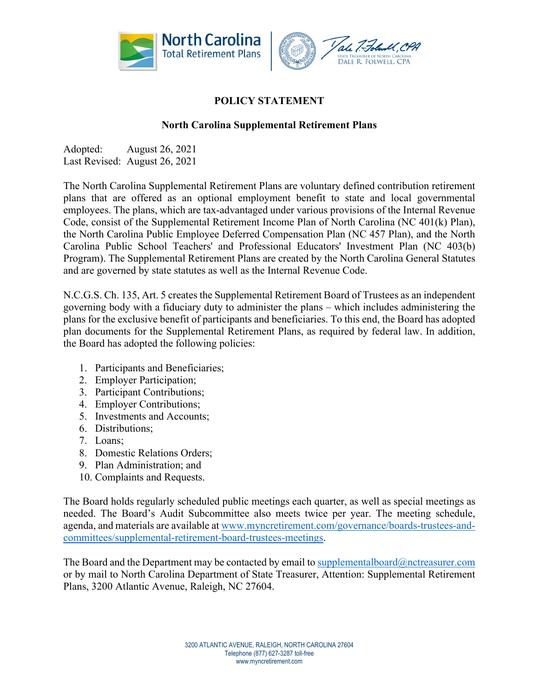

## **POLICY STATEMENT**

## **North Carolina Supplemental Retirement Plans**

Adopted: August 26, 2021 Last Revised: August 26, 2021

The North Carolina Supplemental Retirement Plans are voluntary defined contribution retirement plans that are offered as an optional employment benefit to state and local governmental employees. The plans, which are tax-advantaged under various provisions of the Internal Revenue Code, consist of the Supplemental Retirement Income Plan of North Carolina (NC 401(k) Plan), the North Carolina Public Employee Deferred Compensation Plan (NC 457 Plan), and the North Carolina Public School Teachers' and Professional Educators' Investment Plan (NC 403(b) Program). The Supplemental Retirement Plans are created by the North Carolina General Statutes and are governed by state statutes as well as the Internal Revenue Code.

N.C.G.S. Ch. 135, Art. 5 creates the Supplemental Retirement Board of Trustees as an independent governing body with a fiduciary duty to administer the plans – which includes administering the plans for the exclusive benefit of participants and beneficiaries. To this end, the Board has adopted plan documents for the Supplemental Retirement Plans, as required by federal law. In addition, the Board has adopted the following policies:

- 1. Participants and Beneficiaries;
- 2. Employer Participation;
- 3. Participant Contributions;
- 4. Employer Contributions;
- 5. Investments and Accounts;
- 6. Distributions;
- 7. Loans;
- 8. Domestic Relations Orders;
- 9. Plan Administration; and
- 10. Complaints and Requests.

The Board holds regularly scheduled public meetings each quarter, as well as special meetings as needed. The Board's Audit Subcommittee also meets twice per year. The meeting schedule, agenda, and materials are available at www.myncretirement.com/governance/boards-trustees-andcommittees/supplemental-retirement-board-trustees-meetings.

The Board and the Department may be contacted by email to supplementalboard $@n$ ctreasurer.com or by mail to North Carolina Department of State Treasurer, Attention: Supplemental Retirement Plans, 3200 Atlantic Avenue, Raleigh, NC 27604.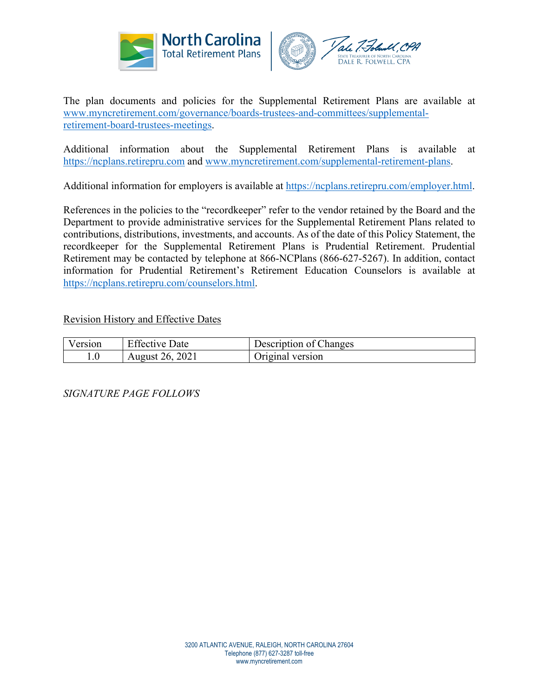



The plan documents and policies for the Supplemental Retirement Plans are available at www.myncretirement.com/governance/boards-trustees-and-committees/supplementalretirement-board-trustees-meetings.

Additional information about the Supplemental Retirement Plans is available at https://ncplans.retirepru.com and www.myncretirement.com/supplemental-retirement-plans.

Additional information for employers is available at https://ncplans.retirepru.com/employer.html.

References in the policies to the "recordkeeper" refer to the vendor retained by the Board and the Department to provide administrative services for the Supplemental Retirement Plans related to contributions, distributions, investments, and accounts. As of the date of this Policy Statement, the recordkeeper for the Supplemental Retirement Plans is Prudential Retirement. Prudential Retirement may be contacted by telephone at 866-NCPlans (866-627-5267). In addition, contact information for Prudential Retirement's Retirement Education Counselors is available at https://ncplans.retirepru.com/counselors.html.

Revision History and Effective Dates

| Version | <b>Effective Date</b> | Description of Changes |
|---------|-----------------------|------------------------|
| 1.U     | August 26, 2021       | Original version       |

*SIGNATURE PAGE FOLLOWS*